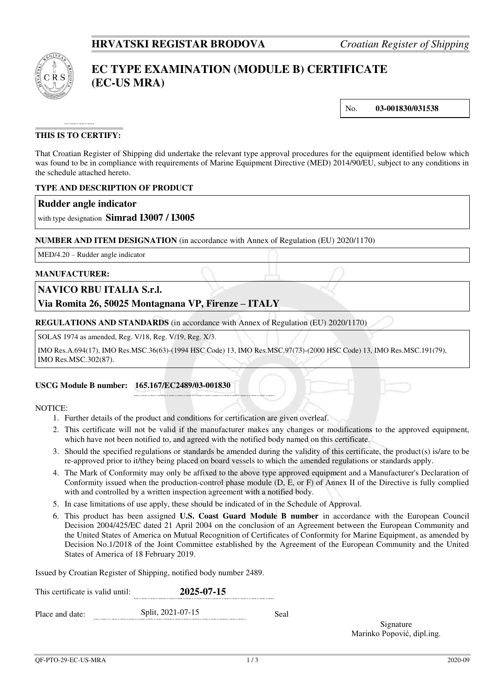

# **EC TYPE EXAMINATION (MODULE B) CERTIFICATE (EC-US MRA)**

No. **03-001830/031538**

## **THIS IS TO CERTIFY:**

That Croatian Register of Shipping did undertake the relevant type approval procedures for the equipment identified below which was found to be in compliance with requirements of Marine Equipment Directive (MED) 2014/90/EU, subject to any conditions in the schedule attached hereto.

## **TYPE AND DESCRIPTION OF PRODUCT**

## **Rudder angle indicator**

with type designation **Simrad I3007 / I3005**

## **NUMBER AND ITEM DESIGNATION** (in accordance with Annex of Regulation (EU) 2020/1170)

MED/4.20 – Rudder angle indicator

## **MANUFACTURER:**

## **NAVICO RBU ITALIA S.r.l.**

## **Via Romita 26, 50025 Montagnana VP, Firenze – ITALY**

**REGULATIONS AND STANDARDS** (in accordance with Annex of Regulation (EU) 2020/1170)

SOLAS 1974 as amended, Reg. V/18, Reg. V/19, Reg. X/3.

IMO Res.A.694(17), IMO Res.MSC.36(63)-(1994 HSC Code) 13, IMO Res.MSC.97(73)-(2000 HSC Code) 13, IMO Res.MSC.191(79), IMO Res.MSC.302(87).

#### **USCG Module B number: 165.167/EC2489/03-001830**

#### NOTICE:

- 1. Further details of the product and conditions for certification are given overleaf.
- 2. This certificate will not be valid if the manufacturer makes any changes or modifications to the approved equipment, which have not been notified to, and agreed with the notified body named on this certificate.
- 3. Should the specified regulations or standards be amended during the validity of this certificate, the product(s) is/are to be re-approved prior to it/they being placed on board vessels to which the amended regulations or standards apply.
- 4. The Mark of Conformity may only be affixed to the above type approved equipment and a Manufacturer's Declaration of Conformity issued when the production-control phase module (D, E, or F) of Annex II of the Directive is fully complied with and controlled by a written inspection agreement with a notified body.
- 5. In case limitations of use apply, these should be indicated of in the Schedule of Approval.
- 6. This product has been assigned **U.S. Coast Guard Module B number** in accordance with the European Council Decision 2004/425/EC dated 21 April 2004 on the conclusion of an Agreement between the European Community and the United States of America on Mutual Recognition of Certificates of Conformity for Marine Equipment, as amended by Decision No.1/2018 of the Joint Committee established by the Agreement of the European Community and the United States of America of 18 February 2019.

Issued by Croatian Register of Shipping, notified body number 2489.

| This certificate is valid until: | 2025-07-15        |      |  |  |
|----------------------------------|-------------------|------|--|--|
| Place and date:                  | Split, 2021-07-15 | Seal |  |  |

Signature Marinko Popović, dipl.ing.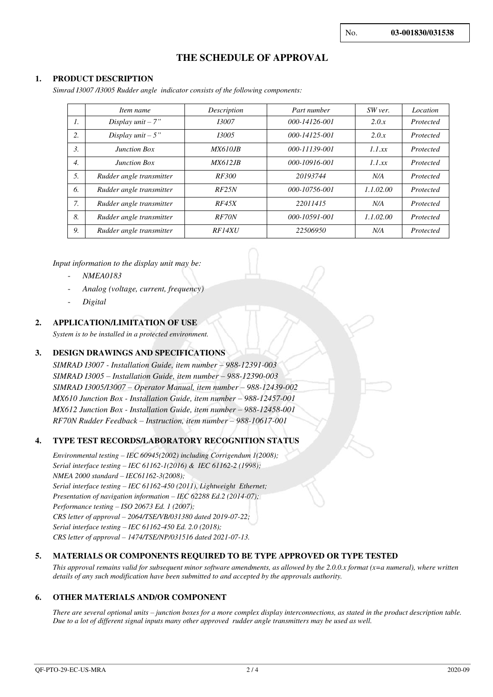## **THE SCHEDULE OF APPROVAL**

### **1. PRODUCT DESCRIPTION**

*Simrad I3007 /I3005 Rudder angle indicator consists of the following components:* 

|                  | Item name                | Description     | Part number         | SW ver.   | Location  |
|------------------|--------------------------|-----------------|---------------------|-----------|-----------|
| $\mathcal{I}$ .  | Display $unit - 7"$      | 13007           | $000 - 14126 - 001$ | 2.0.x     | Protected |
| 2.               | Display $unit - 5$ "     | 13005           | $000 - 14125 - 001$ | 2.0.x     | Protected |
| 3.               | <b>Junction Box</b>      | <i>MX610.JB</i> | 000-11139-001       | 1.1 xx    | Protected |
| $\overline{4}$ . | <b>Junction Box</b>      | <i>MX612.JB</i> | 000-10916-001       | 1.1 xx    | Protected |
| 5.               | Rudder angle transmitter | <i>RF300</i>    | 20193744            | N/A       | Protected |
| 6.               | Rudder angle transmitter | RF25N           | 000-10756-001       | 1.1.02.00 | Protected |
| 7.               | Rudder angle transmitter | RF45X           | 22011415            | N/A       | Protected |
| 8.               | Rudder angle transmitter | RF70N           | 000-10591-001       | 1.1.02.00 | Protected |
| 9.               | Rudder angle transmitter | <b>RF14XU</b>   | 22506950            | N/A       | Protected |

*Input information to the display unit may be:* 

- *NMEA0183*
- *Analog (voltage, current, frequency)*
- *Digital*

## **2. APPLICATION/LIMITATION OF USE**

*System is to be installed in a protected environment.*

### **3. DESIGN DRAWINGS AND SPECIFICATIONS**

*SIMRAD I3007 - Installation Guide, item number – 988-12391-003 SIMRAD I3005 – Installation Guide, item number – 988-12390-003 SIMRAD I3005/I3007 – Operator Manual, item number – 988-12439-002 MX610 Junction Box - Installation Guide, item number – 988-12457-001 MX612 Junction Box - Installation Guide, item number – 988-12458-001 RF70N Rudder Feedback – Instruction, item number – 988-10617-001* 

## **4. TYPE TEST RECORDS/LABORATORY RECOGNITION STATUS**

*Environmental testing – IEC 60945(2002) including Corrigendum 1(2008); Serial interface testing – IEC 61162-1(2016) & IEC 61162-2 (1998); NMEA 2000 standard – IEC61162-3(2008); Serial interface testing – IEC 61162-450 (2011), Lightweight Ethernet; Presentation of navigation information – IEC 62288 Ed.2 (2014-07); Performance testing – ISO 20673 Ed. 1 (2007); CRS letter of approval – 2064/TSE/VB/031380 dated 2019-07-22; Serial interface testing – IEC 61162-450 Ed. 2.0 (2018); CRS letter of approval – 1474/TSE/NP/031516 dated 2021-07-13.*

#### **5. MATERIALS OR COMPONENTS REQUIRED TO BE TYPE APPROVED OR TYPE TESTED**

*This approval remains valid for subsequent minor software amendments, as allowed by the 2.0.0.x format (x=a numeral), where written details of any such modification have been submitted to and accepted by the approvals authority.*

#### **6. OTHER MATERIALS AND/OR COMPONENT**

*There are several optional units – junction boxes for a more complex display interconnections, as stated in the product description table. Due to a lot of different signal inputs many other approved rudder angle transmitters may be used as well.*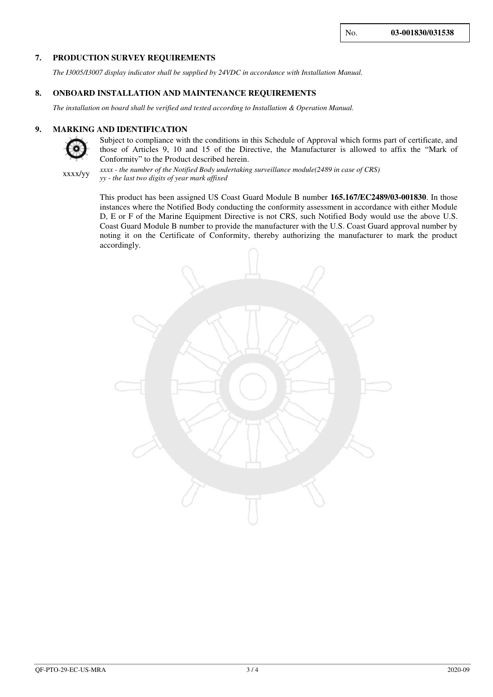## **7. PRODUCTION SURVEY REQUIREMENTS**

*The I3005/I3007 display indicator shall be supplied by 24VDC in accordance with Installation Manual.* 

#### **8. ONBOARD INSTALLATION AND MAINTENANCE REQUIREMENTS**

*The installation on board shall be verified and tested according to Installation & Operation Manual.*

#### **9. MARKING AND IDENTIFICATION**



Subject to compliance with the conditions in this Schedule of Approval which forms part of certificate, and those of Articles 9, 10 and 15 of the Directive, the Manufacturer is allowed to affix the "Mark of Conformity" to the Product described herein.



*xxxx - the number of the Notified Body undertaking surveillance module(2489 in case of CRS) yy - the last two digits of year mark affixed*

This product has been assigned US Coast Guard Module B number **165.167/EC2489/03-001830**. In those instances where the Notified Body conducting the conformity assessment in accordance with either Module D, E or F of the Marine Equipment Directive is not CRS, such Notified Body would use the above U.S. Coast Guard Module B number to provide the manufacturer with the U.S. Coast Guard approval number by noting it on the Certificate of Conformity, thereby authorizing the manufacturer to mark the product accordingly.